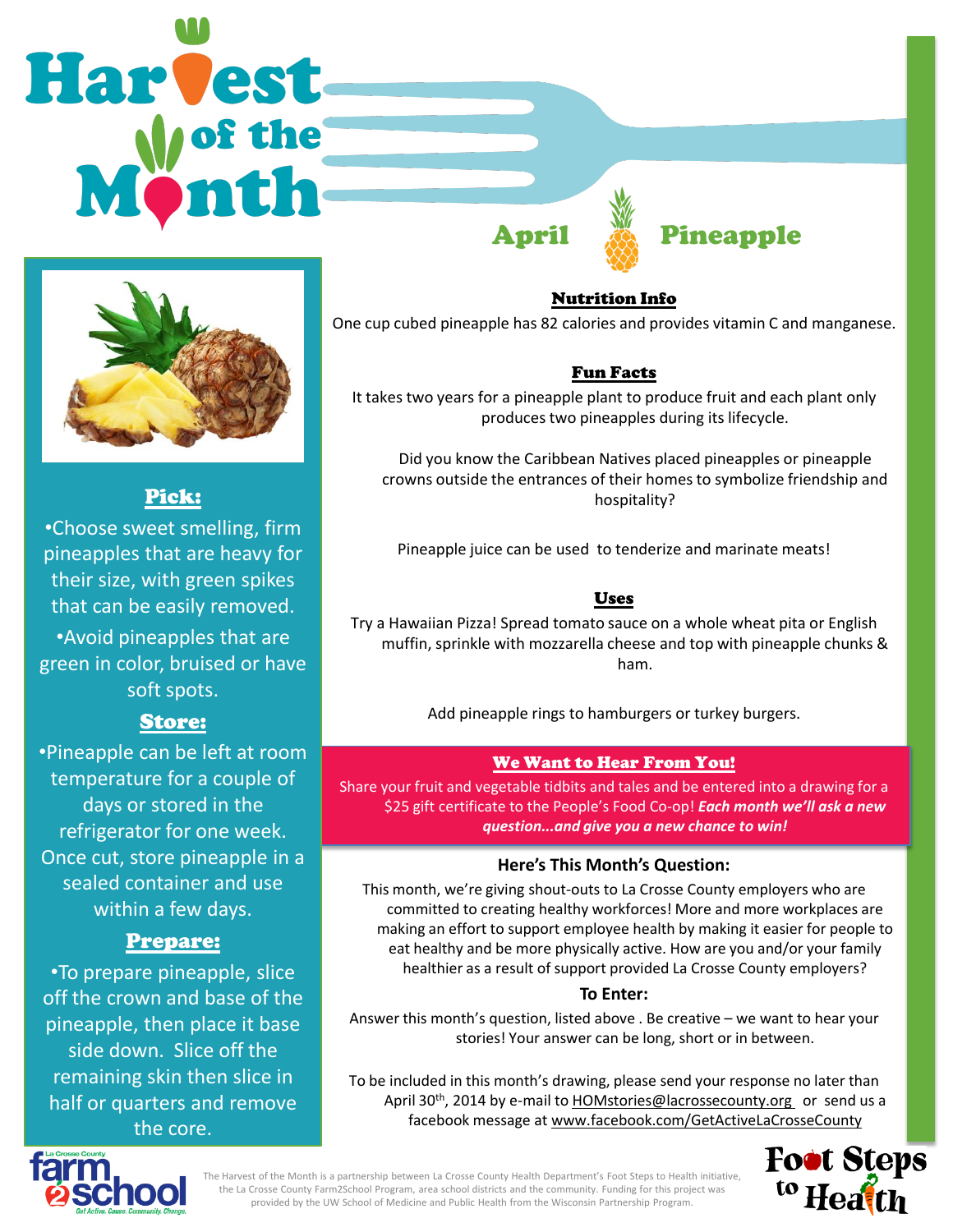# Harvest April **Executed Pineapple**



# Pick:

•Choose sweet smelling, firm pineapples that are heavy for their size, with green spikes that can be easily removed. •Avoid pineapples that are green in color, bruised or have soft spots.

# Store:

•Pineapple can be left at room temperature for a couple of days or stored in the refrigerator for one week. Once cut, store pineapple in a sealed container and use within a few days.

# Prepare:

•To prepare pineapple, slice off the crown and base of the pineapple, then place it base side down. Slice off the remaining skin then slice in half or quarters and remove the core.

Nutrition Info

One cup cubed pineapple has 82 calories and provides vitamin C and manganese.

# Fun Facts

It takes two years for a pineapple plant to produce fruit and each plant only produces two pineapples during its lifecycle.

Did you know the Caribbean Natives placed pineapples or pineapple crowns outside the entrances of their homes to symbolize friendship and hospitality?

Pineapple juice can be used to tenderize and marinate meats!

### Uses

Try a Hawaiian Pizza! Spread tomato sauce on a whole wheat pita or English muffin, sprinkle with mozzarella cheese and top with pineapple chunks & ham.

Add pineapple rings to hamburgers or turkey burgers.

#### We Want to Hear From You!

Share your fruit and vegetable tidbits and tales and be entered into a drawing for a \$25 gift certificate to the People's Food Co-op! *Each month we'll ask a new question...and give you a new chance to win!* 

#### **Here's This Month's Question:**

This month, we're giving shout-outs to La Crosse County employers who are committed to creating healthy workforces! More and more workplaces are making an effort to support employee health by making it easier for people to eat healthy and be more physically active. How are you and/or your family healthier as a result of support provided La Crosse County employers?

#### **To Enter:**

Answer this month's question, listed above . Be creative – we want to hear your stories! Your answer can be long, short or in between.

To be included in this month's drawing, please send your response no later than April 30<sup>th</sup>, 2014 by e-mail to **HOMstories@lacrossecounty.org** or send us a facebook message at www.facebook.com/GetActiveLaCrosseCounty





The Harvest of the Month is a partnership between La Crosse County Health Department's Foot Steps to Health initiative, the La Crosse County Farm2School Program, area school districts and the community. Funding for this project was provided by the UW School of Medicine and Public Health from the Wisconsin Partnership Program.